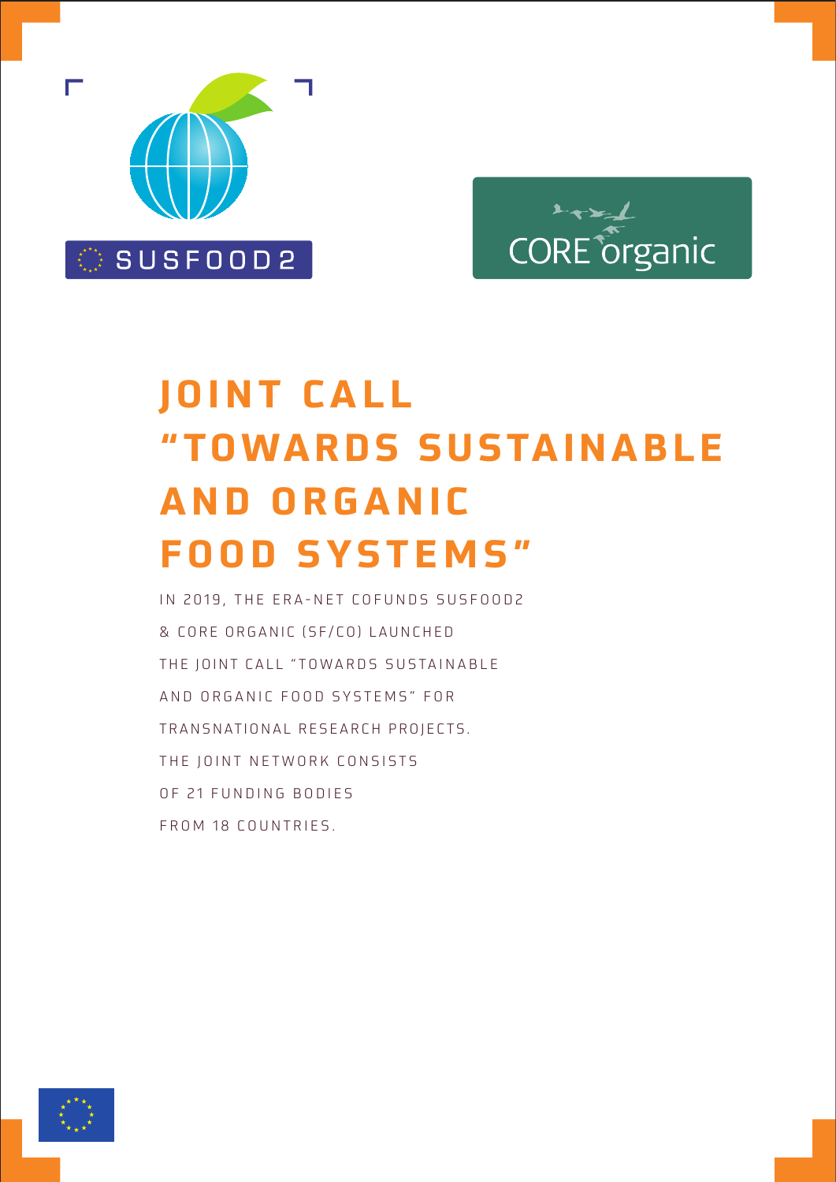

# $\mathbf{L}_{\mathbf{X}}$ CORE organic

# **JOINT CALL "TOWARDS SUSTAINABLE AND ORGANIC FOOD SYSTEMS"**

IN 2019, THE ERA-NET COFUNDS SUSFOOD2 & CORE ORGANIC (SF/CO) LAUNCHED THE JOINT CALL "TOWARDS SUSTAINABLE AND ORGANIC FOOD SYSTEMS" FOR TRANSNATIONAL RESEARCH PROJECTS. THE JOINT NETWORK CONSISTS OF 21 FUNDING BODIES FROM 18 COUNTRIES.

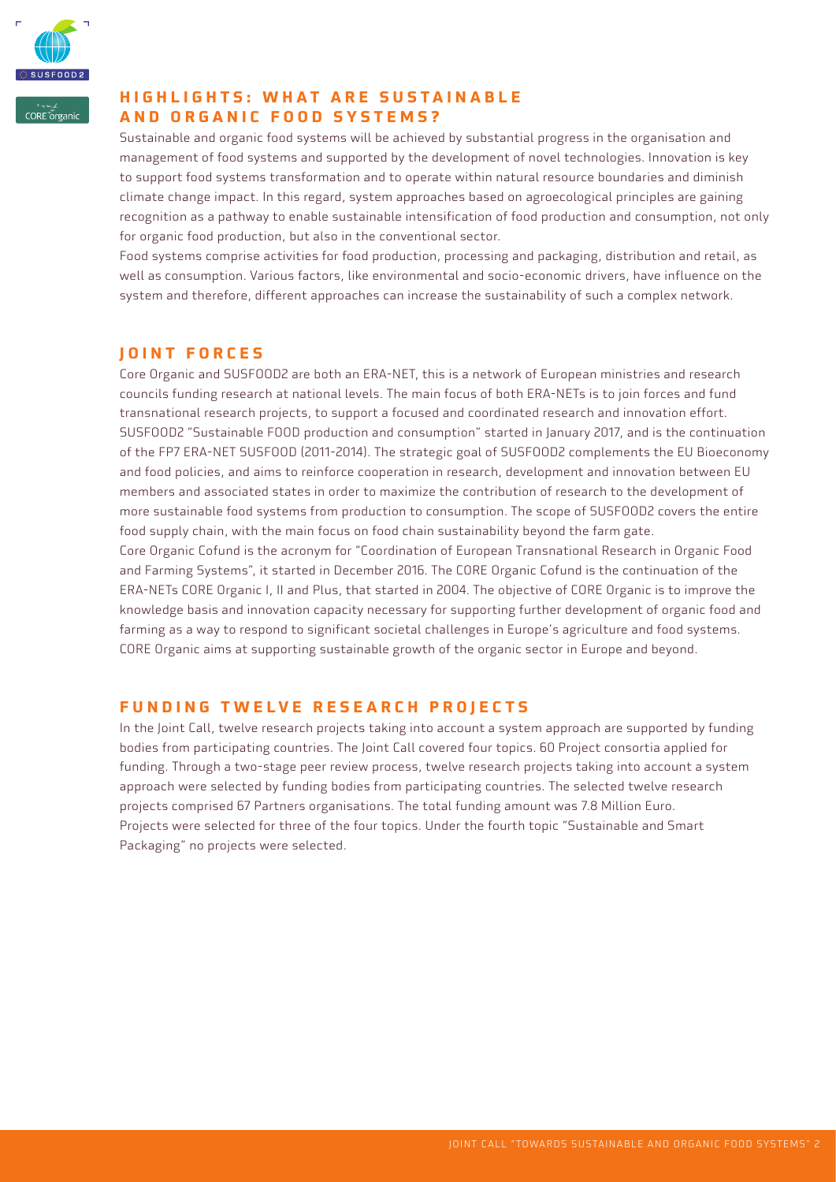

**CORE** <u>proanic</u>

# **HIGHLIGHTS: WHAT ARE SUSTAINABLE AND ORGANIC FOOD SYSTEMS?**

Sustainable and organic food systems will be achieved by substantial progress in the organisation and management of food systems and supported by the development of novel technologies. Innovation is key to support food systems transformation and to operate within natural resource boundaries and diminish climate change impact. In this regard, system approaches based on agroecological principles are gaining recognition as a pathway to enable sustainable intensification of food production and consumption, not only for organic food production, but also in the conventional sector.

Food systems comprise activities for food production, processing and packaging, distribution and retail, as well as consumption. Various factors, like environmental and socio-economic drivers, have influence on the system and therefore, different approaches can increase the sustainability of such a complex network.

# **JOINT FORCES**

Core Organic and SUSFOOD2 are both an ERA-NET, this is a network of European ministries and research councils funding research at national levels. The main focus of both ERA-NETs is to join forces and fund transnational research projects, to support a focused and coordinated research and innovation effort. SUSFOOD2 "Sustainable FOOD production and consumption" started in January 2017, and is the continuation of the FP7 ERA-NET SUSFOOD (2011-2014). The strategic goal of SUSFOOD2 complements the EU Bioeconomy and food policies, and aims to reinforce cooperation in research, development and innovation between EU members and associated states in order to maximize the contribution of research to the development of more sustainable food systems from production to consumption. The scope of SUSFOOD2 covers the entire food supply chain, with the main focus on food chain sustainability beyond the farm gate. Core Organic Cofund is the acronym for "Coordination of European Transnational Research in Organic Food and Farming Systems", it started in December 2016. The CORE Organic Cofund is the continuation of the ERA-NETs CORE Organic I, II and Plus, that started in 2004. The objective of CORE Organic is to improve the knowledge basis and innovation capacity necessary for supporting further development of organic food and farming as a way to respond to significant societal challenges in Europe's agriculture and food systems. CORE Organic aims at supporting sustainable growth of the organic sector in Europe and beyond.

# **FUNDING TWELVE RESEARCH PROJECTS**

In the Joint Call, twelve research projects taking into account a system approach are supported by funding bodies from participating countries. The Joint Call covered four topics. 60 Project consortia applied for funding. Through a two-stage peer review process, twelve research projects taking into account a system approach were selected by funding bodies from participating countries. The selected twelve research projects comprised 67 Partners organisations. The total funding amount was 7.8 Million Euro. Projects were selected for three of the four topics. Under the fourth topic "Sustainable and Smart Packaging" no projects were selected.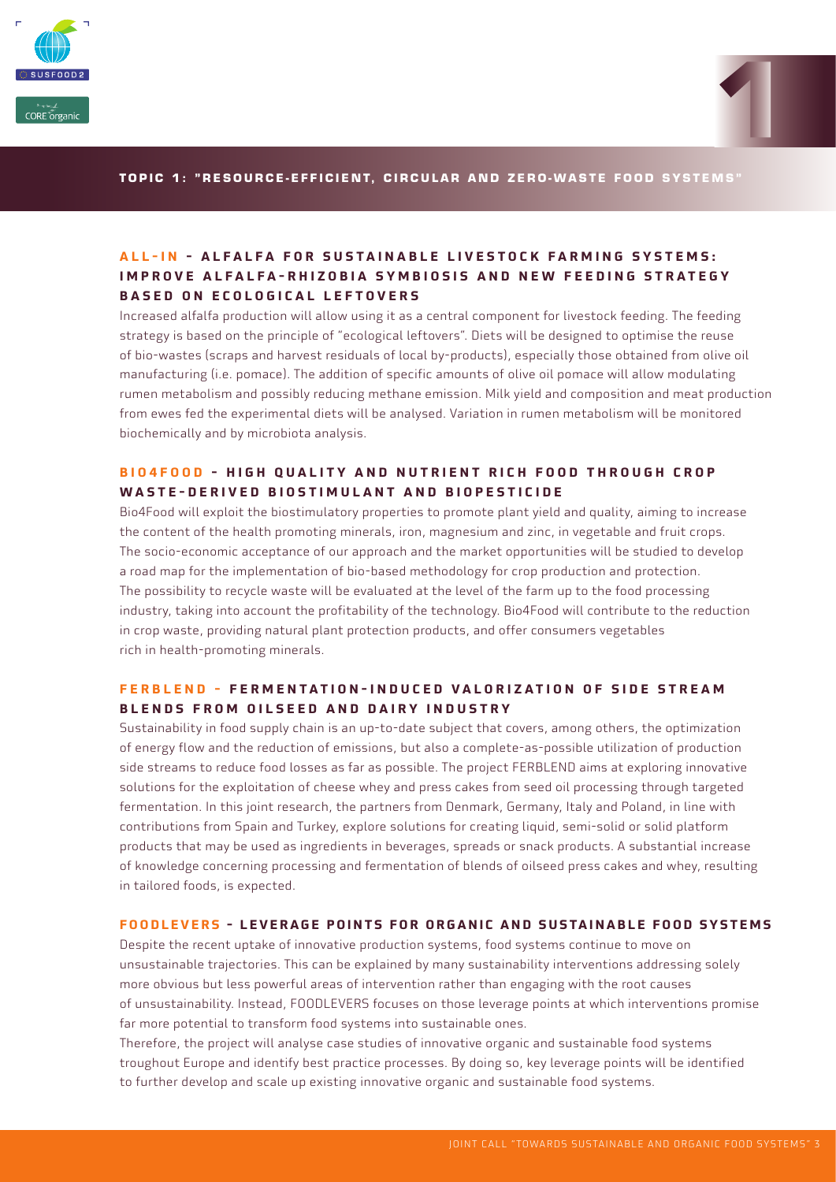



#### **TOPIC 1: "RESOURCE-EFFICIENT, CIRCULAR AND ZERO-WASTE FOOD SYSTEMS"**

#### ALL-IN - ALFALFA FOR SUSTAINABLE LIVESTOCK FARMING SYSTEMS: **IMPROVE ALFALFA-RHIZOBIA SYMBIOSIS AND NEW FEEDING STRATEGY BASED ON ECOLOGICAL LEFTOVERS**

Increased alfalfa production will allow using it as a central component for livestock feeding. The feeding strategy is based on the principle of "ecological leftovers". Diets will be designed to optimise the reuse of bio-wastes (scraps and harvest residuals of local by-products), especially those obtained from olive oil manufacturing (i.e. pomace). The addition of specific amounts of olive oil pomace will allow modulating rumen metabolism and possibly reducing methane emission. Milk yield and composition and meat production from ewes fed the experimental diets will be analysed. Variation in rumen metabolism will be monitored biochemically and by microbiota analysis.

#### **BIO4FOOD - HIGH QUALITY AND NUTRIENT RICH FOOD THROUGH CROP WASTE-DERIVED BIOSTIMULANT AND BIOPESTICIDE**

Bio4Food will exploit the biostimulatory properties to promote plant yield and quality, aiming to increase the content of the health promoting minerals, iron, magnesium and zinc, in vegetable and fruit crops. The socio-economic acceptance of our approach and the market opportunities will be studied to develop a road map for the implementation of bio-based methodology for crop production and protection. The possibility to recycle waste will be evaluated at the level of the farm up to the food processing industry, taking into account the profitability of the technology. Bio4Food will contribute to the reduction in crop waste, providing natural plant protection products, and offer consumers vegetables rich in health-promoting minerals.

#### **FERBLEND - FERMENTATION-INDUCED VALORIZATION OF SIDE STREAM BLENDS FROM OILSEED AND DAIRY INDUSTRY**

Sustainability in food supply chain is an up-to-date subject that covers, among others, the optimization of energy flow and the reduction of emissions, but also a complete-as-possible utilization of production side streams to reduce food losses as far as possible. The project FERBLEND aims at exploring innovative solutions for the exploitation of cheese whey and press cakes from seed oil processing through targeted fermentation. In this joint research, the partners from Denmark, Germany, Italy and Poland, in line with contributions from Spain and Turkey, explore solutions for creating liquid, semi-solid or solid platform products that may be used as ingredients in beverages, spreads or snack products. A substantial increase of knowledge concerning processing and fermentation of blends of oilseed press cakes and whey, resulting in tailored foods, is expected.

#### **FOODLEVERS - LEVERAGE POINTS FOR ORGANIC AND SUSTAINABLE FOOD SYSTEMS**

Despite the recent uptake of innovative production systems, food systems continue to move on unsustainable trajectories. This can be explained by many sustainability interventions addressing solely more obvious but less powerful areas of intervention rather than engaging with the root causes of unsustainability. Instead, FOODLEVERS focuses on those leverage points at which interventions promise far more potential to transform food systems into sustainable ones.

Therefore, the project will analyse case studies of innovative organic and sustainable food systems troughout Europe and identify best practice processes. By doing so, key leverage points will be identified to further develop and scale up existing innovative organic and sustainable food systems.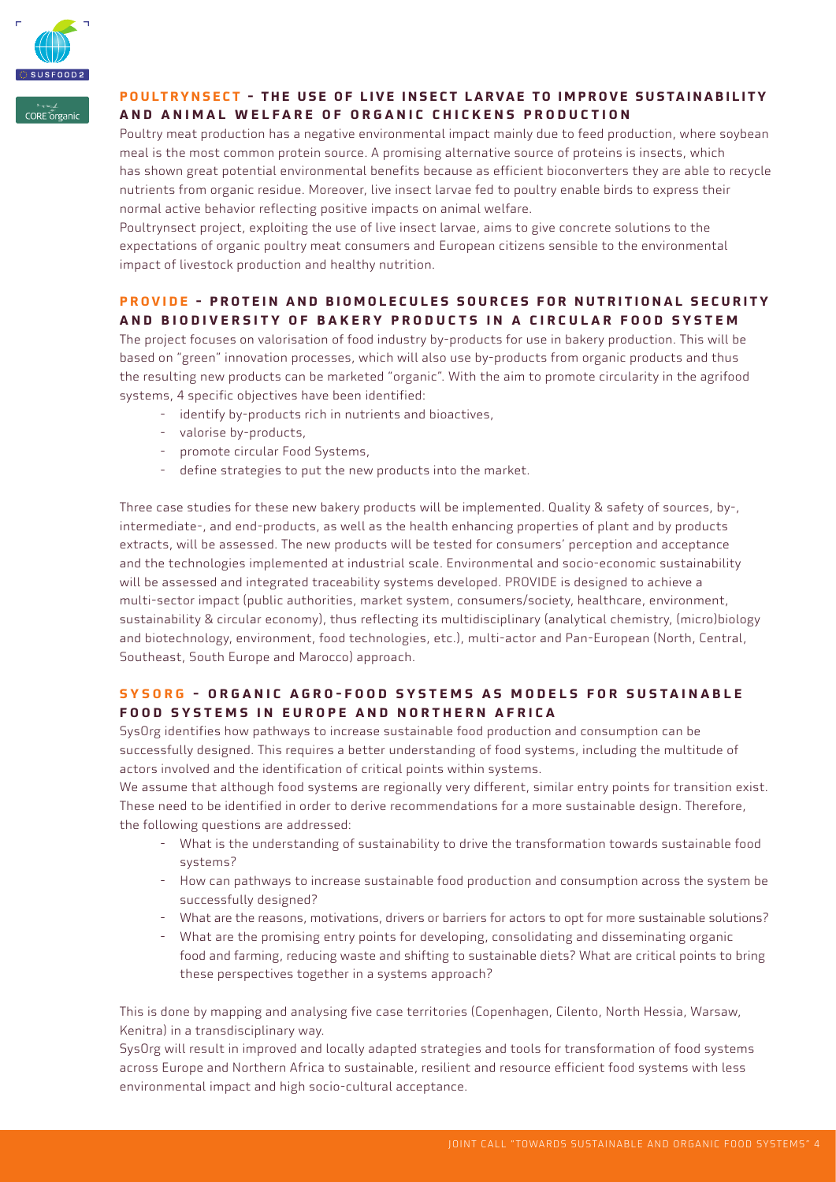

CORE organic

# **POULTRYNSECT - THE USE OF LIVE INSECT LARVAE TO IMPROVE SUSTAINABILITY AND ANIMAL WELFARE OF ORGANIC CHICKENS PRODUCTION**

Poultry meat production has a negative environmental impact mainly due to feed production, where soybean meal is the most common protein source. A promising alternative source of proteins is insects, which has shown great potential environmental benefits because as efficient bioconverters they are able to recycle nutrients from organic residue. Moreover, live insect larvae fed to poultry enable birds to express their normal active behavior reflecting positive impacts on animal welfare.

Poultrynsect project, exploiting the use of live insect larvae, aims to give concrete solutions to the expectations of organic poultry meat consumers and European citizens sensible to the environmental impact of livestock production and healthy nutrition.

# **PROVIDE - PROTEIN AND BIOMOLECULES SOURCES FOR NUTRITIONAL SECURITY AND BIODIVERSITY OF BAKERY PRODUCTS IN A CIRCULAR FOOD SYSTEM**

The project focuses on valorisation of food industry by-products for use in bakery production. This will be based on "green" innovation processes, which will also use by-products from organic products and thus the resulting new products can be marketed "organic". With the aim to promote circularity in the agrifood systems, 4 specific objectives have been identified:

- identify by-products rich in nutrients and bioactives,
- valorise by-products,
- promote circular Food Systems,
- define strategies to put the new products into the market.

Three case studies for these new bakery products will be implemented. Quality & safety of sources, by-, intermediate-, and end-products, as well as the health enhancing properties of plant and by products extracts, will be assessed. The new products will be tested for consumers' perception and acceptance and the technologies implemented at industrial scale. Environmental and socio-economic sustainability will be assessed and integrated traceability systems developed. PROVIDE is designed to achieve a multi-sector impact (public authorities, market system, consumers/society, healthcare, environment, sustainability & circular economy), thus reflecting its multidisciplinary (analytical chemistry, (micro)biology and biotechnology, environment, food technologies, etc.), multi-actor and Pan-European (North, Central, Southeast, South Europe and Marocco) approach.

#### **SYSORG - ORGANIC AGRO-FOOD SYSTEMS AS MODELS FOR SUSTAINABLE FOOD SYSTEMS IN EUROPE AND NORTHERN AFRICA**

SysOrg identifies how pathways to increase sustainable food production and consumption can be successfully designed. This requires a better understanding of food systems, including the multitude of actors involved and the identification of critical points within systems.

We assume that although food systems are regionally very different, similar entry points for transition exist. These need to be identified in order to derive recommendations for a more sustainable design. Therefore, the following questions are addressed:

- What is the understanding of sustainability to drive the transformation towards sustainable food systems?
- How can pathways to increase sustainable food production and consumption across the system be successfully designed?
- What are the reasons, motivations, drivers or barriers for actors to opt for more sustainable solutions?
- What are the promising entry points for developing, consolidating and disseminating organic food and farming, reducing waste and shifting to sustainable diets? What are critical points to bring these perspectives together in a systems approach?

This is done by mapping and analysing five case territories (Copenhagen, Cilento, North Hessia, Warsaw, Kenitra) in a transdisciplinary way.

SysOrg will result in improved and locally adapted strategies and tools for transformation of food systems across Europe and Northern Africa to sustainable, resilient and resource efficient food systems with less environmental impact and high socio-cultural acceptance.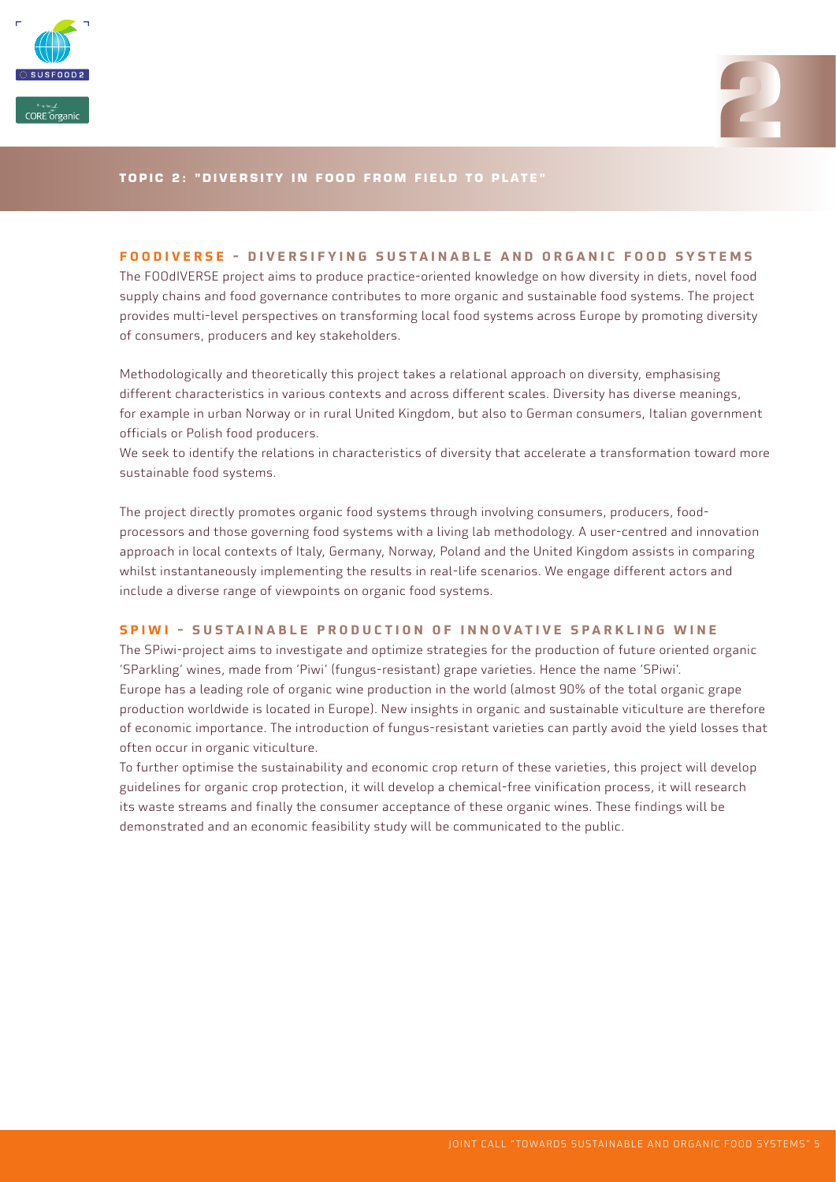



#### **TOPIC 2: "DIVERSITY IN FOOD FROM FIELD TO PLATE"**

#### **FOODIVERSE - DIVERSIFYING SUSTAINABLE AND ORGANIC FOOD SYSTEMS**

The FOOdIVERSE project aims to produce practice-oriented knowledge on how diversity in diets, novel food supply chains and food governance contributes to more organic and sustainable food systems. The project provides multi-level perspectives on transforming local food systems across Europe by promoting diversity of consumers, producers and key stakeholders.

Methodologically and theoretically this project takes a relational approach on diversity, emphasising different characteristics in various contexts and across different scales. Diversity has diverse meanings, for example in urban Norway or in rural United Kingdom, but also to German consumers, Italian government officials or Polish food producers.

We seek to identify the relations in characteristics of diversity that accelerate a transformation toward more sustainable food systems.

The project directly promotes organic food systems through involving consumers, producers, foodprocessors and those governing food systems with a living lab methodology. A user-centred and innovation approach in local contexts of Italy, Germany, Norway, Poland and the United Kingdom assists in comparing whilst instantaneously implementing the results in real-life scenarios. We engage different actors and include a diverse range of viewpoints on organic food systems.

#### **SPIWI - SUSTAINABLE PRODUCTION OF INNOVATIVE SPARKLING WINE**

The SPiwi-project aims to investigate and optimize strategies for the production of future oriented organic 'SParkling' wines, made from 'Piwi' (fungus-resistant) grape varieties. Hence the name 'SPiwi'. Europe has a leading role of organic wine production in the world (almost 90% of the total organic grape production worldwide is located in Europe). New insights in organic and sustainable viticulture are therefore of economic importance. The introduction of fungus-resistant varieties can partly avoid the yield losses that often occur in organic viticulture.

To further optimise the sustainability and economic crop return of these varieties, this project will develop guidelines for organic crop protection, it will develop a chemical-free vinification process, it will research its waste streams and finally the consumer acceptance of these organic wines. These findings will be demonstrated and an economic feasibility study will be communicated to the public.